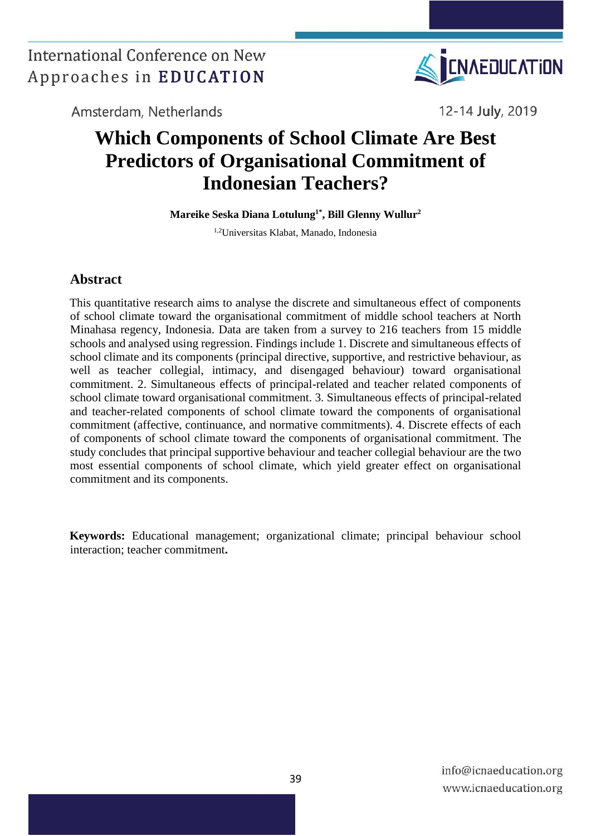

Amsterdam, Netherlands

12-14 July, 2019

# **Which Components of School Climate Are Best Predictors of Organisational Commitment of Indonesian Teachers?**

**Mareike Seska Diana Lotulung1\*, Bill Glenny Wullur<sup>2</sup>**

1,2Universitas Klabat, Manado, Indonesia

#### **Abstract**

This quantitative research aims to analyse the discrete and simultaneous effect of components of school climate toward the organisational commitment of middle school teachers at North Minahasa regency, Indonesia. Data are taken from a survey to 216 teachers from 15 middle schools and analysed using regression. Findings include 1. Discrete and simultaneous effects of school climate and its components (principal directive, supportive, and restrictive behaviour, as well as teacher collegial, intimacy, and disengaged behaviour) toward organisational commitment. 2. Simultaneous effects of principal-related and teacher related components of school climate toward organisational commitment. 3. Simultaneous effects of principal-related and teacher-related components of school climate toward the components of organisational commitment (affective, continuance, and normative commitments). 4. Discrete effects of each of components of school climate toward the components of organisational commitment. The study concludes that principal supportive behaviour and teacher collegial behaviour are the two most essential components of school climate, which yield greater effect on organisational commitment and its components.

**Keywords:** Educational management; organizational climate; principal behaviour school interaction; teacher commitment**.**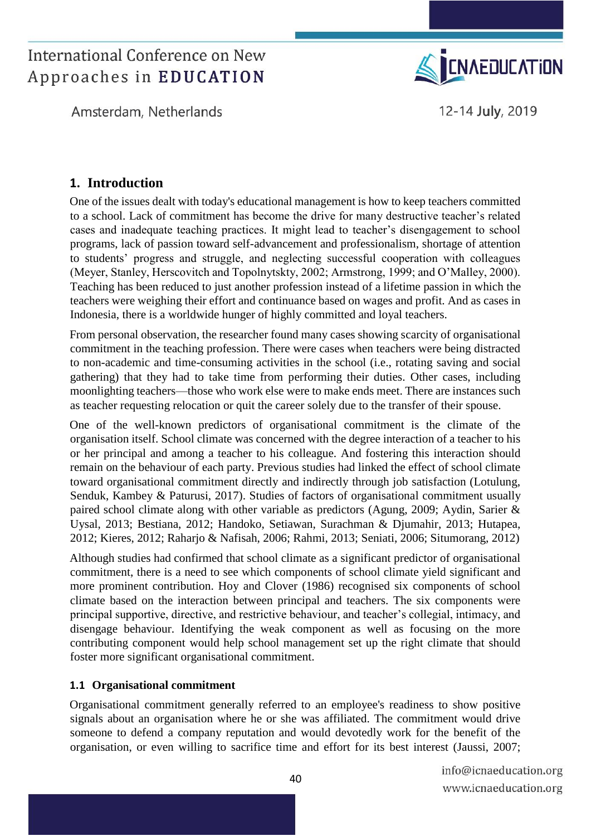Amsterdam, Netherlands



12-14 July, 2019

### **1. Introduction**

One of the issues dealt with today's educational management is how to keep teachers committed to a school. Lack of commitment has become the drive for many destructive teacher's related cases and inadequate teaching practices. It might lead to teacher's disengagement to school programs, lack of passion toward self-advancement and professionalism, shortage of attention to students' progress and struggle, and neglecting successful cooperation with colleagues (Meyer, Stanley, Herscovitch and Topolnytskty, 2002; Armstrong, 1999; and O'Malley, 2000). Teaching has been reduced to just another profession instead of a lifetime passion in which the teachers were weighing their effort and continuance based on wages and profit. And as cases in Indonesia, there is a worldwide hunger of highly committed and loyal teachers.

From personal observation, the researcher found many cases showing scarcity of organisational commitment in the teaching profession. There were cases when teachers were being distracted to non-academic and time-consuming activities in the school (i.e., rotating saving and social gathering) that they had to take time from performing their duties. Other cases, including moonlighting teachers—those who work else were to make ends meet. There are instances such as teacher requesting relocation or quit the career solely due to the transfer of their spouse.

One of the well-known predictors of organisational commitment is the climate of the organisation itself. School climate was concerned with the degree interaction of a teacher to his or her principal and among a teacher to his colleague. And fostering this interaction should remain on the behaviour of each party. Previous studies had linked the effect of school climate toward organisational commitment directly and indirectly through job satisfaction (Lotulung, Senduk, Kambey & Paturusi, 2017). Studies of factors of organisational commitment usually paired school climate along with other variable as predictors (Agung, 2009; Aydin, Sarier & Uysal, 2013; Bestiana, 2012; Handoko, Setiawan, Surachman & Djumahir, 2013; Hutapea, 2012; Kieres, 2012; Raharjo & Nafisah, 2006; Rahmi, 2013; Seniati, 2006; Situmorang, 2012)

Although studies had confirmed that school climate as a significant predictor of organisational commitment, there is a need to see which components of school climate yield significant and more prominent contribution. Hoy and Clover (1986) recognised six components of school climate based on the interaction between principal and teachers. The six components were principal supportive, directive, and restrictive behaviour, and teacher's collegial, intimacy, and disengage behaviour. Identifying the weak component as well as focusing on the more contributing component would help school management set up the right climate that should foster more significant organisational commitment.

#### **1.1 Organisational commitment**

Organisational commitment generally referred to an employee's readiness to show positive signals about an organisation where he or she was affiliated. The commitment would drive someone to defend a company reputation and would devotedly work for the benefit of the organisation, or even willing to sacrifice time and effort for its best interest (Jaussi, 2007;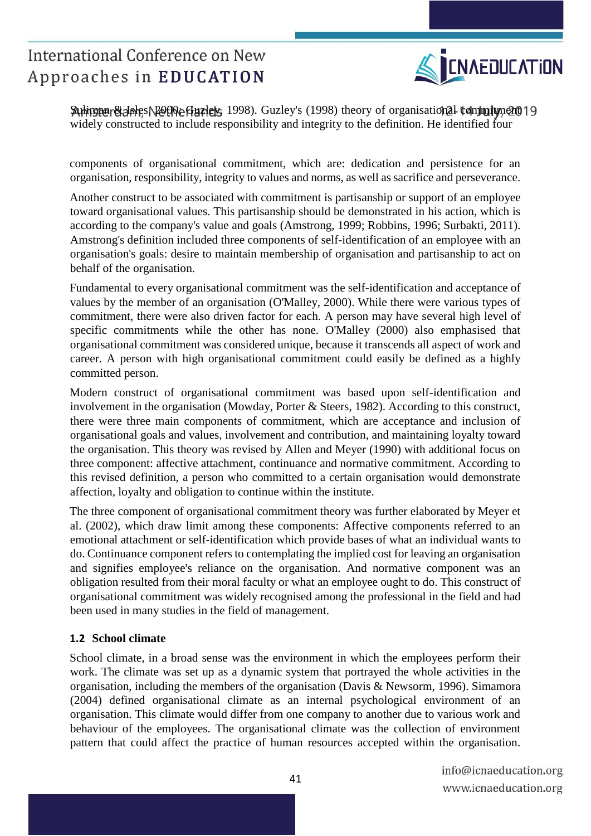

Sumington & Isles, Rothe Guzleys, 1998). Guzley's (1998) theory of organisational commitment 19 widely constructed to include responsibility and integrity to the definition. He identified four

components of organisational commitment, which are: dedication and persistence for an organisation, responsibility, integrity to values and norms, as well as sacrifice and perseverance.

Another construct to be associated with commitment is partisanship or support of an employee toward organisational values. This partisanship should be demonstrated in his action, which is according to the company's value and goals (Amstrong, 1999; Robbins, 1996; Surbakti, 2011). Amstrong's definition included three components of self-identification of an employee with an organisation's goals: desire to maintain membership of organisation and partisanship to act on behalf of the organisation.

Fundamental to every organisational commitment was the self-identification and acceptance of values by the member of an organisation (O'Malley, 2000). While there were various types of commitment, there were also driven factor for each. A person may have several high level of specific commitments while the other has none. O'Malley (2000) also emphasised that organisational commitment was considered unique, because it transcends all aspect of work and career. A person with high organisational commitment could easily be defined as a highly committed person.

Modern construct of organisational commitment was based upon self-identification and involvement in the organisation (Mowday, Porter & Steers, 1982). According to this construct, there were three main components of commitment, which are acceptance and inclusion of organisational goals and values, involvement and contribution, and maintaining loyalty toward the organisation. This theory was revised by Allen and Meyer (1990) with additional focus on three component: affective attachment, continuance and normative commitment. According to this revised definition, a person who committed to a certain organisation would demonstrate affection, loyalty and obligation to continue within the institute.

The three component of organisational commitment theory was further elaborated by Meyer et al. (2002), which draw limit among these components: Affective components referred to an emotional attachment or self-identification which provide bases of what an individual wants to do. Continuance component refers to contemplating the implied cost for leaving an organisation and signifies employee's reliance on the organisation. And normative component was an obligation resulted from their moral faculty or what an employee ought to do. This construct of organisational commitment was widely recognised among the professional in the field and had been used in many studies in the field of management.

#### **1.2 School climate**

School climate, in a broad sense was the environment in which the employees perform their work. The climate was set up as a dynamic system that portrayed the whole activities in the organisation, including the members of the organisation (Davis & Newsorm, 1996). Simamora (2004) defined organisational climate as an internal psychological environment of an organisation. This climate would differ from one company to another due to various work and behaviour of the employees. The organisational climate was the collection of environment pattern that could affect the practice of human resources accepted within the organisation.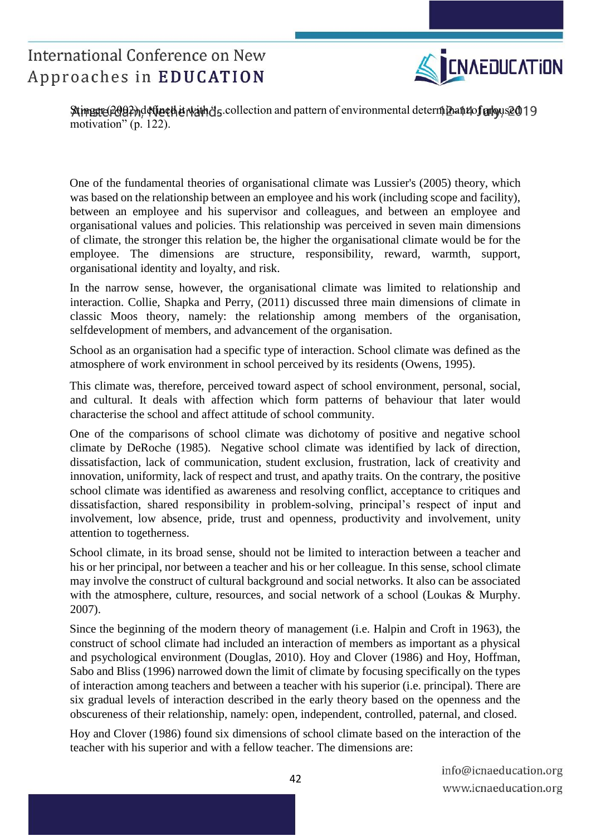

Stimgste (2002) define the right s. collection and pattern of environmental determinant of aroused 19 motivation" (p. 122).

One of the fundamental theories of organisational climate was Lussier's (2005) theory, which was based on the relationship between an employee and his work (including scope and facility), between an employee and his supervisor and colleagues, and between an employee and organisational values and policies. This relationship was perceived in seven main dimensions of climate, the stronger this relation be, the higher the organisational climate would be for the employee. The dimensions are structure, responsibility, reward, warmth, support, organisational identity and loyalty, and risk.

In the narrow sense, however, the organisational climate was limited to relationship and interaction. Collie, Shapka and Perry, (2011) discussed three main dimensions of climate in classic Moos theory, namely: the relationship among members of the organisation, selfdevelopment of members, and advancement of the organisation.

School as an organisation had a specific type of interaction. School climate was defined as the atmosphere of work environment in school perceived by its residents (Owens, 1995).

This climate was, therefore, perceived toward aspect of school environment, personal, social, and cultural. It deals with affection which form patterns of behaviour that later would characterise the school and affect attitude of school community.

One of the comparisons of school climate was dichotomy of positive and negative school climate by DeRoche (1985). Negative school climate was identified by lack of direction, dissatisfaction, lack of communication, student exclusion, frustration, lack of creativity and innovation, uniformity, lack of respect and trust, and apathy traits. On the contrary, the positive school climate was identified as awareness and resolving conflict, acceptance to critiques and dissatisfaction, shared responsibility in problem-solving, principal's respect of input and involvement, low absence, pride, trust and openness, productivity and involvement, unity attention to togetherness.

School climate, in its broad sense, should not be limited to interaction between a teacher and his or her principal, nor between a teacher and his or her colleague. In this sense, school climate may involve the construct of cultural background and social networks. It also can be associated with the atmosphere, culture, resources, and social network of a school (Loukas & Murphy. 2007).

Since the beginning of the modern theory of management (i.e. Halpin and Croft in 1963), the construct of school climate had included an interaction of members as important as a physical and psychological environment (Douglas, 2010). Hoy and Clover (1986) and Hoy, Hoffman, Sabo and Bliss (1996) narrowed down the limit of climate by focusing specifically on the types of interaction among teachers and between a teacher with his superior (i.e. principal). There are six gradual levels of interaction described in the early theory based on the openness and the obscureness of their relationship, namely: open, independent, controlled, paternal, and closed.

Hoy and Clover (1986) found six dimensions of school climate based on the interaction of the teacher with his superior and with a fellow teacher. The dimensions are: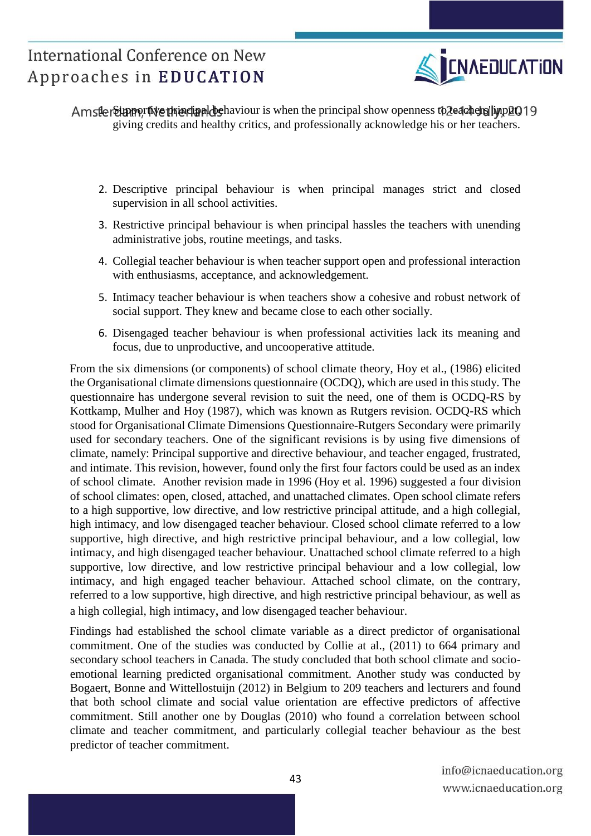

AmsterSupportive thuncipal behaviour is when the principal show openness to Zeachers' imput 019 giving credits and healthy critics, and professionally acknowledge his or her teachers.

- 2. Descriptive principal behaviour is when principal manages strict and closed supervision in all school activities.
- 3. Restrictive principal behaviour is when principal hassles the teachers with unending administrative jobs, routine meetings, and tasks.
- 4. Collegial teacher behaviour is when teacher support open and professional interaction with enthusiasms, acceptance, and acknowledgement.
- 5. Intimacy teacher behaviour is when teachers show a cohesive and robust network of social support. They knew and became close to each other socially.
- 6. Disengaged teacher behaviour is when professional activities lack its meaning and focus, due to unproductive, and uncooperative attitude.

From the six dimensions (or components) of school climate theory, Hoy et al., (1986) elicited the Organisational climate dimensions questionnaire (OCDQ), which are used in this study. The questionnaire has undergone several revision to suit the need, one of them is OCDQ-RS by Kottkamp, Mulher and Hoy (1987), which was known as Rutgers revision. OCDQ-RS which stood for Organisational Climate Dimensions Questionnaire-Rutgers Secondary were primarily used for secondary teachers. One of the significant revisions is by using five dimensions of climate, namely: Principal supportive and directive behaviour, and teacher engaged, frustrated, and intimate. This revision, however, found only the first four factors could be used as an index of school climate. Another revision made in 1996 (Hoy et al. 1996) suggested a four division of school climates: open, closed, attached, and unattached climates. Open school climate refers to a high supportive, low directive, and low restrictive principal attitude, and a high collegial, high intimacy, and low disengaged teacher behaviour. Closed school climate referred to a low supportive, high directive, and high restrictive principal behaviour, and a low collegial, low intimacy, and high disengaged teacher behaviour. Unattached school climate referred to a high supportive, low directive, and low restrictive principal behaviour and a low collegial, low intimacy, and high engaged teacher behaviour. Attached school climate, on the contrary, referred to a low supportive, high directive, and high restrictive principal behaviour, as well as a high collegial, high intimacy, and low disengaged teacher behaviour.

Findings had established the school climate variable as a direct predictor of organisational commitment. One of the studies was conducted by Collie at al., (2011) to 664 primary and secondary school teachers in Canada. The study concluded that both school climate and socioemotional learning predicted organisational commitment. Another study was conducted by Bogaert, Bonne and Wittellostuijn (2012) in Belgium to 209 teachers and lecturers and found that both school climate and social value orientation are effective predictors of affective commitment. Still another one by Douglas (2010) who found a correlation between school climate and teacher commitment, and particularly collegial teacher behaviour as the best predictor of teacher commitment.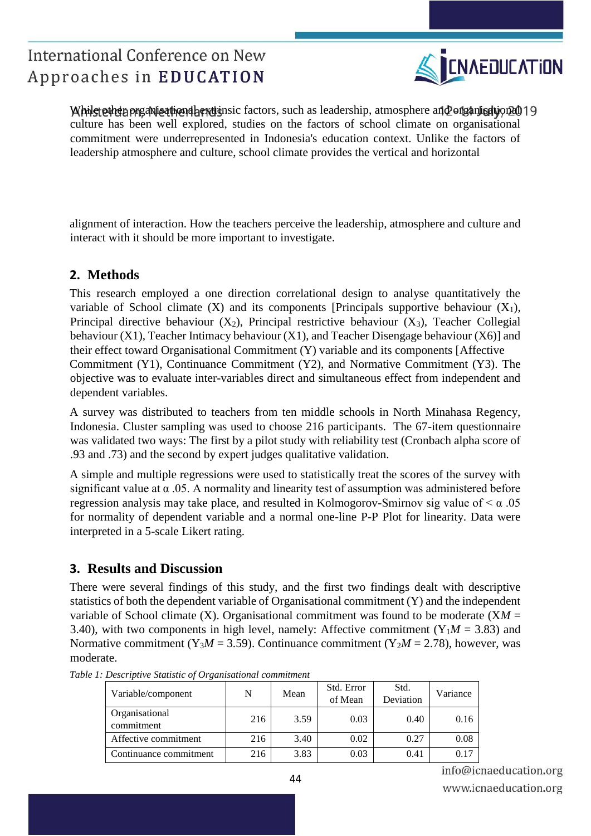

While tether organisational extrinsic factors, such as leadership, atmosphere and origanisation 2019 culture has been well explored, studies on the factors of school climate on organisational commitment were underrepresented in Indonesia's education context. Unlike the factors of leadership atmosphere and culture, school climate provides the vertical and horizontal

alignment of interaction. How the teachers perceive the leadership, atmosphere and culture and interact with it should be more important to investigate.

### **2. Methods**

This research employed a one direction correlational design to analyse quantitatively the variable of School climate  $(X)$  and its components [Principals supportive behaviour  $(X_1)$ , Principal directive behaviour  $(X_2)$ , Principal restrictive behaviour  $(X_3)$ , Teacher Collegial behaviour (X1), Teacher Intimacy behaviour (X1), and Teacher Disengage behaviour (X6)] and their effect toward Organisational Commitment (Y) variable and its components [Affective Commitment (Y1), Continuance Commitment (Y2), and Normative Commitment (Y3). The objective was to evaluate inter-variables direct and simultaneous effect from independent and dependent variables.

A survey was distributed to teachers from ten middle schools in North Minahasa Regency, Indonesia. Cluster sampling was used to choose 216 participants. The 67-item questionnaire was validated two ways: The first by a pilot study with reliability test (Cronbach alpha score of .93 and .73) and the second by expert judges qualitative validation.

A simple and multiple regressions were used to statistically treat the scores of the survey with significant value at α .05. A normality and linearity test of assumption was administered before regression analysis may take place, and resulted in Kolmogorov-Smirnov sig value of  $\lt \alpha$ .05 for normality of dependent variable and a normal one-line P-P Plot for linearity. Data were interpreted in a 5-scale Likert rating.

### **3. Results and Discussion**

There were several findings of this study, and the first two findings dealt with descriptive statistics of both the dependent variable of Organisational commitment (Y) and the independent variable of School climate (X). Organisational commitment was found to be moderate  $(XM =$ 3.40), with two components in high level, namely: Affective commitment ( $Y_1M = 3.83$ ) and Normative commitment (Y<sub>3</sub> $M = 3.59$ ). Continuance commitment (Y<sub>2</sub> $M = 2.78$ ), however, was moderate.

| Variable/component           | N   | Mean | Std. Error<br>of Mean | Std.<br>Deviation | Variance |
|------------------------------|-----|------|-----------------------|-------------------|----------|
| Organisational<br>commitment | 216 | 3.59 | 0.03                  | 0.40              | 0.16     |
| Affective commitment         | 216 | 3.40 | 0.02                  | 0.27              | 0.08     |
| Continuance commitment       | 216 | 3.83 | 0.03                  | 0.41              |          |

*Table 1: Descriptive Statistic of Organisational commitment* 

info@icnaeducation.org www.icnaeducation.org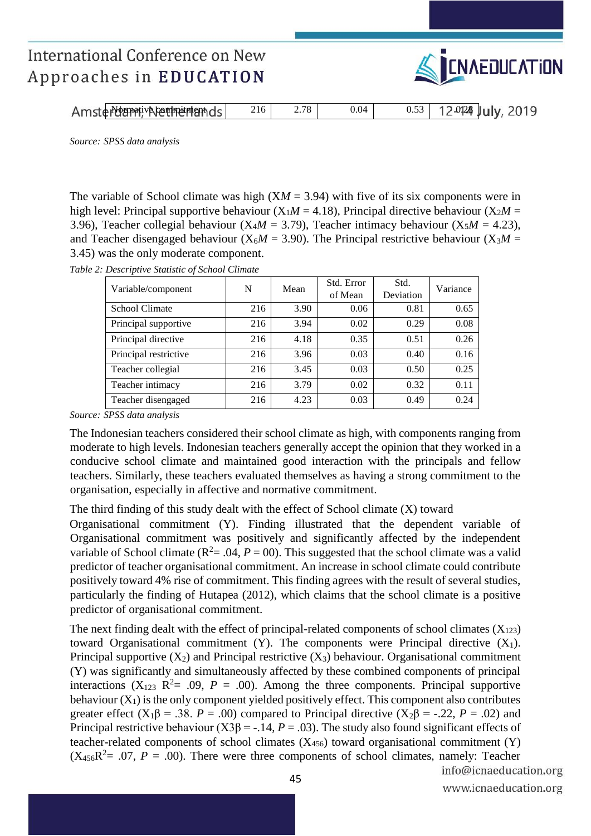

| Amsterdammundenmenhands | 216 | 2.78 I | 0.04 | $0.53$ 12 0124 July, 2019 |  |
|-------------------------|-----|--------|------|---------------------------|--|

*Source: SPSS data analysis* 

The variable of School climate was high  $(XM = 3.94)$  with five of its six components were in high level: Principal supportive behaviour  $(X_1M = 4.18)$ , Principal directive behaviour  $(X_2M =$ 3.96), Teacher collegial behaviour  $(X_4M = 3.79)$ , Teacher intimacy behaviour  $(X_5M = 4.23)$ , and Teacher disengaged behaviour ( $X_6M = 3.90$ ). The Principal restrictive behaviour ( $X_3M =$ 3.45) was the only moderate component.

*Table 2: Descriptive Statistic of School Climate* 

| Variable/component    | N   | Mean | Std. Error<br>of Mean | Std.<br>Deviation | Variance |  |
|-----------------------|-----|------|-----------------------|-------------------|----------|--|
| School Climate        | 216 | 3.90 | 0.06                  | 0.81              | 0.65     |  |
| Principal supportive  | 216 | 3.94 | 0.02                  | 0.29              | 0.08     |  |
| Principal directive   | 216 | 4.18 | 0.35                  | 0.51              | 0.26     |  |
| Principal restrictive | 216 | 3.96 | 0.03                  | 0.40              | 0.16     |  |
| Teacher collegial     | 216 | 3.45 | 0.03                  | 0.50              | 0.25     |  |
| Teacher intimacy      | 216 | 3.79 | 0.02                  | 0.32              | 0.11     |  |
| Teacher disengaged    | 216 | 4.23 | 0.03                  | 0.49              | 0.24     |  |

*Source: SPSS data analysis* 

The Indonesian teachers considered their school climate as high, with components ranging from moderate to high levels. Indonesian teachers generally accept the opinion that they worked in a conducive school climate and maintained good interaction with the principals and fellow teachers. Similarly, these teachers evaluated themselves as having a strong commitment to the organisation, especially in affective and normative commitment.

The third finding of this study dealt with the effect of School climate (X) toward

Organisational commitment (Y). Finding illustrated that the dependent variable of Organisational commitment was positively and significantly affected by the independent variable of School climate ( $R^2 = .04$ ,  $P = 00$ ). This suggested that the school climate was a valid predictor of teacher organisational commitment. An increase in school climate could contribute positively toward 4% rise of commitment. This finding agrees with the result of several studies, particularly the finding of Hutapea (2012), which claims that the school climate is a positive predictor of organisational commitment.

The next finding dealt with the effect of principal-related components of school climates  $(X_{123})$ toward Organisational commitment (Y). The components were Principal directive  $(X_1)$ . Principal supportive  $(X_2)$  and Principal restrictive  $(X_3)$  behaviour. Organisational commitment (Y) was significantly and simultaneously affected by these combined components of principal interactions  $(X_{123} \t R^2 = .09, P = .00)$ . Among the three components. Principal supportive behaviour  $(X_1)$  is the only component yielded positively effect. This component also contributes greater effect ( $X_1\beta = .38$ . *P* = .00) compared to Principal directive ( $X_2\beta = -.22$ , *P* = .02) and Principal restrictive behaviour ( $X3\beta$  = -.14, *P* = .03). The study also found significant effects of teacher-related components of school climates  $(X_{456})$  toward organisational commitment  $(Y)$  $(X_{456}R^2 = .07, P = .00)$ . There were three components of school climates, namely: Teacher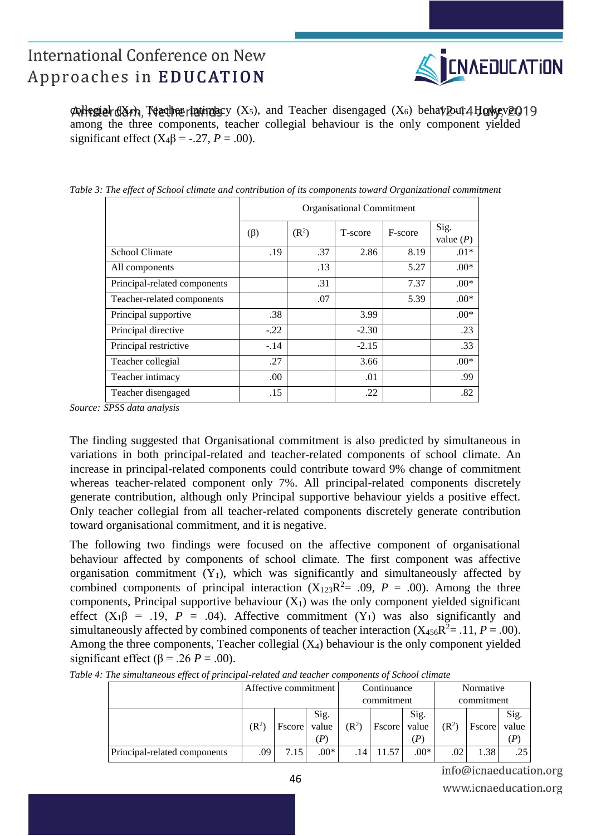

 $\phi$ ollegial (X4), Teacher latingary (X5), and Teacher disengaged (X6) behaviour. However, 19 among the three components, teacher collegial behaviour is the only component yielded significant effect  $(X_4\beta = -.27, P = .00)$ .

|                              | Organisational Commitment |                   |         |         |                     |  |  |  |  |
|------------------------------|---------------------------|-------------------|---------|---------|---------------------|--|--|--|--|
|                              | $(\beta)$                 | (R <sup>2</sup> ) | T-score | F-score | Sig.<br>value $(P)$ |  |  |  |  |
| <b>School Climate</b>        | .19                       | .37               | 2.86    | 8.19    | $.01*$              |  |  |  |  |
| All components               |                           | .13               |         | 5.27    | $.00*$              |  |  |  |  |
| Principal-related components |                           | .31               |         | 7.37    | $.00*$              |  |  |  |  |
| Teacher-related components   |                           | .07               |         | 5.39    | $.00*$              |  |  |  |  |
| Principal supportive         | .38                       |                   | 3.99    |         | $.00*$              |  |  |  |  |
| Principal directive          | $-.22$                    |                   | $-2.30$ |         | .23                 |  |  |  |  |
| Principal restrictive        | $-.14$                    |                   | $-2.15$ |         | .33                 |  |  |  |  |
| Teacher collegial            | .27                       |                   | 3.66    |         | $.00*$              |  |  |  |  |
| Teacher intimacy             | .00                       |                   | .01     |         | .99                 |  |  |  |  |
| Teacher disengaged           | .15                       |                   | .22     |         | .82                 |  |  |  |  |

*Table 3: The effect of School climate and contribution of its components toward Organizational commitment* 

*Source: SPSS data analysis* 

The finding suggested that Organisational commitment is also predicted by simultaneous in variations in both principal-related and teacher-related components of school climate. An increase in principal-related components could contribute toward 9% change of commitment whereas teacher-related component only 7%. All principal-related components discretely generate contribution, although only Principal supportive behaviour yields a positive effect. Only teacher collegial from all teacher-related components discretely generate contribution toward organisational commitment, and it is negative.

The following two findings were focused on the affective component of organisational behaviour affected by components of school climate. The first component was affective organisation commitment  $(Y_1)$ , which was significantly and simultaneously affected by combined components of principal interaction  $(X_{123}R^2 = .09, P = .00)$ . Among the three components, Principal supportive behaviour  $(X_1)$  was the only component yielded significant effect  $(X_1\beta = .19, P = .04)$ . Affective commitment  $(Y_1)$  was also significantly and simultaneously affected by combined components of teacher interaction  $(X_{456}R^2 = .11, P = .00)$ . Among the three components, Teacher collegial  $(X_4)$  behaviour is the only component yielded significant effect ( $\beta$  = .26 *P* = .00).

|                              | Affective commitment |               |                      | Continuance |            |               | Normative        |               |                      |  |
|------------------------------|----------------------|---------------|----------------------|-------------|------------|---------------|------------------|---------------|----------------------|--|
|                              |                      |               |                      |             | commitment |               | commitment       |               |                      |  |
|                              | $(\mathbb{R}^2)$     | <b>Fscore</b> | Sig.<br>value<br>(P) | $(R^2)$     | Fscore     | Sig.<br>value | $(\mathbb{R}^2)$ | <b>Fscore</b> | Sig.<br>value<br>(P) |  |
| Principal-related components | .09                  | 7.15          | $.00*$               | . 14        | 11.57      | $.00*$        | .02              | 1.38          | .25                  |  |

*Table 4: The simultaneous effect of principal-related and teacher components of School climate* 

info@icnaeducation.org www.icnaeducation.org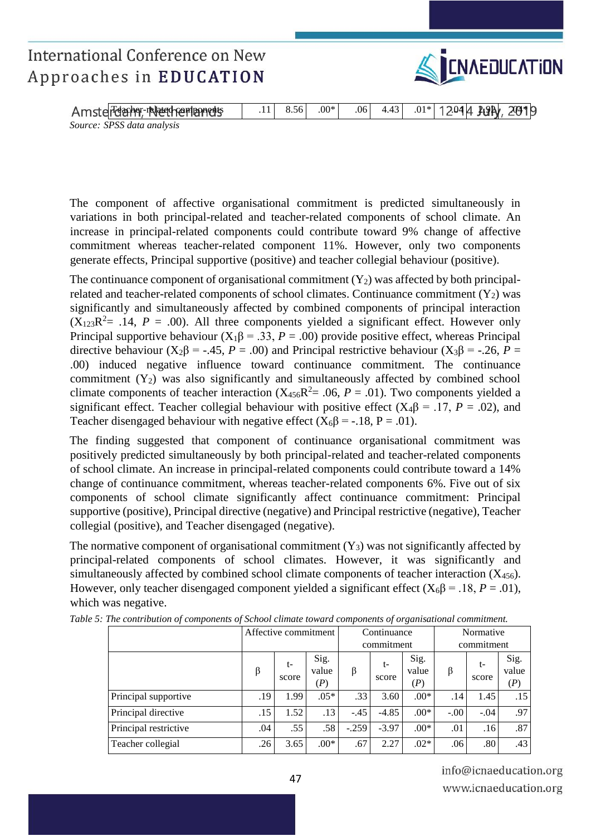

| Amsterdamer-related nemanners | 8.56 | $.00*$ | .061 | 4.43 | $.01*$ 12044 LUN, 2019 |  |
|-------------------------------|------|--------|------|------|------------------------|--|
| Source: SPSS data analysis    |      |        |      |      |                        |  |

The component of affective organisational commitment is predicted simultaneously in variations in both principal-related and teacher-related components of school climate. An increase in principal-related components could contribute toward 9% change of affective commitment whereas teacher-related component 11%. However, only two components generate effects, Principal supportive (positive) and teacher collegial behaviour (positive).

The continuance component of organisational commitment  $(Y_2)$  was affected by both principalrelated and teacher-related components of school climates. Continuance commitment  $(Y_2)$  was significantly and simultaneously affected by combined components of principal interaction  $(X_{123}R^2 = .14, P = .00)$ . All three components yielded a significant effect. However only Principal supportive behaviour  $(X_1\beta = .33, P = .00)$  provide positive effect, whereas Principal directive behaviour ( $X_2\beta$  = -.45, *P* = .00) and Principal restrictive behaviour ( $X_3\beta$  = -.26, *P* = .00) induced negative influence toward continuance commitment. The continuance commitment  $(Y_2)$  was also significantly and simultaneously affected by combined school climate components of teacher interaction  $(X_{456}R^2 = .06, P = .01)$ . Two components yielded a significant effect. Teacher collegial behaviour with positive effect  $(X_4\beta = .17, P = .02)$ , and Teacher disengaged behaviour with negative effect  $(X_6\beta = -18, P = .01)$ .

The finding suggested that component of continuance organisational commitment was positively predicted simultaneously by both principal-related and teacher-related components of school climate. An increase in principal-related components could contribute toward a 14% change of continuance commitment, whereas teacher-related components 6%. Five out of six components of school climate significantly affect continuance commitment: Principal supportive (positive), Principal directive (negative) and Principal restrictive (negative), Teacher collegial (positive), and Teacher disengaged (negative).

The normative component of organisational commitment  $(Y_3)$  was not significantly affected by principal-related components of school climates. However, it was significantly and simultaneously affected by combined school climate components of teacher interaction  $(X_{456})$ . However, only teacher disengaged component yielded a significant effect  $(X_6\beta = .18, P = .01)$ , which was negative.

|                       | Affective commitment |             |                      | Continuance |             |                      | Normative  |             |                      |
|-----------------------|----------------------|-------------|----------------------|-------------|-------------|----------------------|------------|-------------|----------------------|
|                       |                      |             |                      |             | commitment  |                      | commitment |             |                      |
|                       | β                    | t-<br>score | Sig.<br>value<br>(P) | β           | t-<br>score | Sig.<br>value<br>(P) | β          | t-<br>score | Sig.<br>value<br>(P) |
| Principal supportive  | .19                  | 1.99        | $.05*$               | .33         | 3.60        | $.00*$               | .14        | 1.45        | .15                  |
| Principal directive   | .15                  | 1.52        | .13                  | $-.45$      | $-4.85$     | $.00*$               | $-.00$     | $-.04$      | .97                  |
| Principal restrictive | .04                  | .55         | .58                  | $-.259$     | $-3.97$     | $.00*$               | .01        | .16         | .87                  |
| Teacher collegial     | .26                  | 3.65        | $.00*$               | .67         | 2.27        | $.02*$               | .06        | .80         | .43                  |

*Table 5: The contribution of components of School climate toward components of organisational commitment.*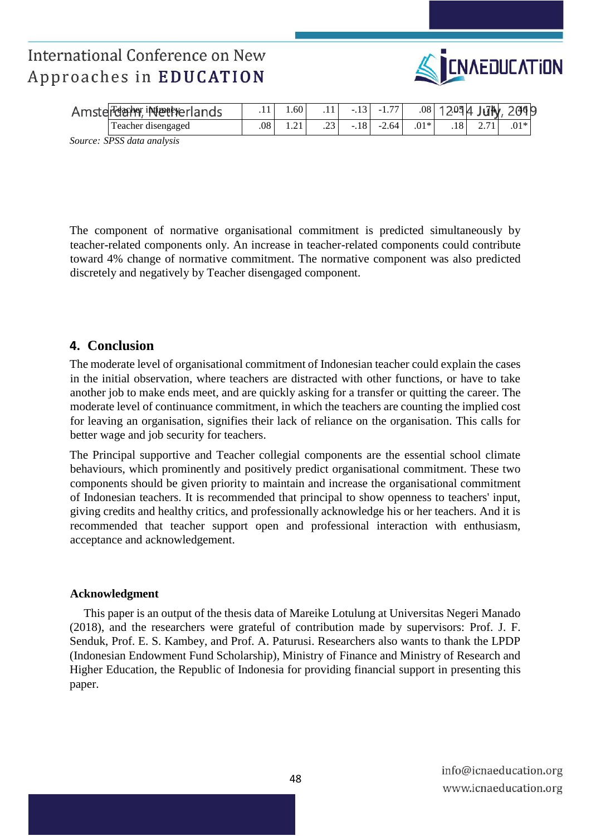

| Amsterdamer, intertherlands |     | 0.60 <sup>1</sup> |                    | $-.13$   | $-1.77$ |        |                   | $.08$ 12014 July | 2019 |
|-----------------------------|-----|-------------------|--------------------|----------|---------|--------|-------------------|------------------|------|
| Teacher disengaged          | .08 | .                 | $2^{\circ}$<br>ر__ | .18<br>- | $-2.64$ | $.01*$ | $.18$ $^{\prime}$ | ر .              |      |
| Course CDCC data analysis   |     |                   |                    |          |         |        |                   |                  |      |

*Source: SPSS data analysis* 

The component of normative organisational commitment is predicted simultaneously by teacher-related components only. An increase in teacher-related components could contribute toward 4% change of normative commitment. The normative component was also predicted discretely and negatively by Teacher disengaged component.

### **4. Conclusion**

The moderate level of organisational commitment of Indonesian teacher could explain the cases in the initial observation, where teachers are distracted with other functions, or have to take another job to make ends meet, and are quickly asking for a transfer or quitting the career. The moderate level of continuance commitment, in which the teachers are counting the implied cost for leaving an organisation, signifies their lack of reliance on the organisation. This calls for better wage and job security for teachers.

The Principal supportive and Teacher collegial components are the essential school climate behaviours, which prominently and positively predict organisational commitment. These two components should be given priority to maintain and increase the organisational commitment of Indonesian teachers. It is recommended that principal to show openness to teachers' input, giving credits and healthy critics, and professionally acknowledge his or her teachers. And it is recommended that teacher support open and professional interaction with enthusiasm, acceptance and acknowledgement.

#### **Acknowledgment**

This paper is an output of the thesis data of Mareike Lotulung at Universitas Negeri Manado (2018), and the researchers were grateful of contribution made by supervisors: Prof. J. F. Senduk, Prof. E. S. Kambey, and Prof. A. Paturusi. Researchers also wants to thank the LPDP (Indonesian Endowment Fund Scholarship), Ministry of Finance and Ministry of Research and Higher Education, the Republic of Indonesia for providing financial support in presenting this paper.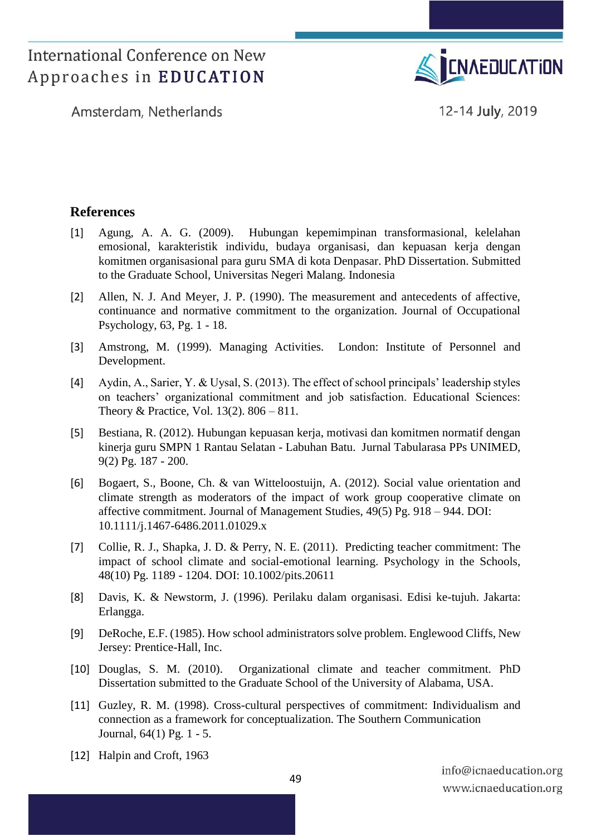

Amsterdam, Netherlands

12-14 July, 2019

### **References**

- [1] Agung, A. A. G. (2009). Hubungan kepemimpinan transformasional, kelelahan emosional, karakteristik individu, budaya organisasi, dan kepuasan kerja dengan komitmen organisasional para guru SMA di kota Denpasar. PhD Dissertation. Submitted to the Graduate School, Universitas Negeri Malang. Indonesia
- [2] Allen, N. J. And Meyer, J. P. (1990). The measurement and antecedents of affective, continuance and normative commitment to the organization. Journal of Occupational Psychology, 63, Pg. 1 - 18.
- [3] Amstrong, M. (1999). Managing Activities. London: Institute of Personnel and Development.
- [4] Aydin, A., Sarier, Y. & Uysal, S. (2013). The effect of school principals' leadership styles on teachers' organizational commitment and job satisfaction. Educational Sciences: Theory & Practice, Vol. 13(2). 806 – 811.
- [5] Bestiana, R. (2012). Hubungan kepuasan kerja, motivasi dan komitmen normatif dengan kinerja guru SMPN 1 Rantau Selatan - Labuhan Batu. Jurnal Tabularasa PPs UNIMED, 9(2) Pg. 187 - 200.
- [6] Bogaert, S., Boone, Ch. & van Witteloostuijn, A. (2012). Social value orientation and climate strength as moderators of the impact of work group cooperative climate on affective commitment. Journal of Management Studies, 49(5) Pg. 918 – 944. DOI: 10.1111/j.1467-6486.2011.01029.x
- [7] Collie, R. J., Shapka, J. D. & Perry, N. E. (2011). Predicting teacher commitment: The impact of school climate and social-emotional learning. Psychology in the Schools, 48(10) Pg. 1189 - 1204. DOI: 10.1002/pits.20611
- [8] Davis, K. & Newstorm, J. (1996). Perilaku dalam organisasi. Edisi ke-tujuh. Jakarta: Erlangga.
- [9] DeRoche, E.F. (1985). How school administrators solve problem. Englewood Cliffs, New Jersey: Prentice-Hall, Inc.
- [10] Douglas, S. M. (2010). Organizational climate and teacher commitment. PhD Dissertation submitted to the Graduate School of the University of Alabama, USA.
- [11] Guzley, R. M. (1998). Cross-cultural perspectives of commitment: Individualism and connection as a framework for conceptualization. The Southern Communication Journal, 64(1) Pg. 1 - 5.
- [12] Halpin and Croft, 1963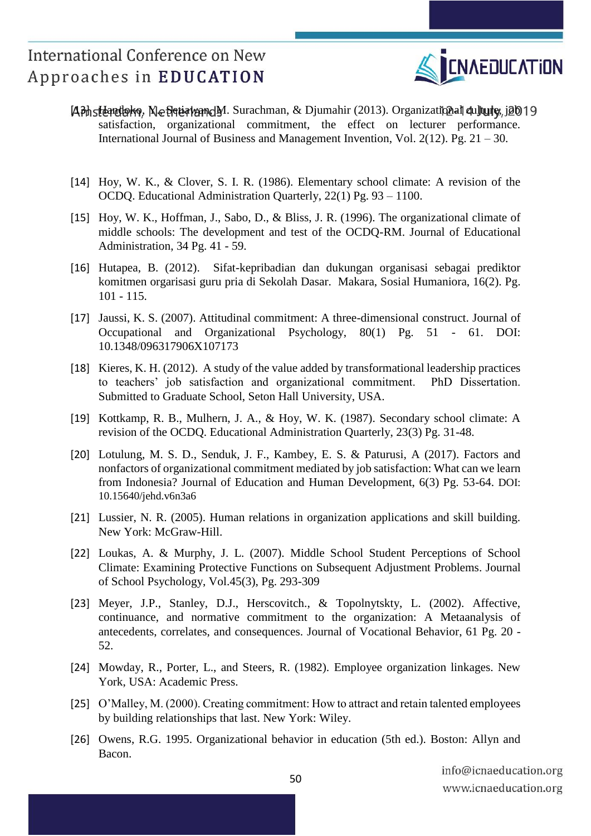

- $[4]$ Bhsteandoko, NeBetiawan, M. Surachman, & Djumahir (2013). Organizational culture, job 19 satisfaction, organizational commitment, the effect on lecturer performance. International Journal of Business and Management Invention, Vol. 2(12). Pg. 21 – 30.
- [14] Hoy, W. K., & Clover, S. I. R. (1986). Elementary school climate: A revision of the OCDQ. Educational Administration Quarterly, 22(1) Pg. 93 – 1100.
- [15] Hoy, W. K., Hoffman, J., Sabo, D., & Bliss, J. R. (1996). The organizational climate of middle schools: The development and test of the OCDQ-RM. Journal of Educational Administration, 34 Pg. 41 - 59.
- [16] Hutapea, B. (2012). Sifat-kepribadian dan dukungan organisasi sebagai prediktor komitmen orgarisasi guru pria di Sekolah Dasar. Makara, Sosial Humaniora, 16(2). Pg. 101 - 115.
- [17] Jaussi, K. S. (2007). Attitudinal commitment: A three-dimensional construct. Journal of Occupational and Organizational Psychology, 80(1) Pg. 51 - 61. DOI: 10.1348/096317906X107173
- [18] Kieres, K. H. (2012). A study of the value added by transformational leadership practices to teachers' job satisfaction and organizational commitment. PhD Dissertation. Submitted to Graduate School, Seton Hall University, USA.
- [19] Kottkamp, R. B., Mulhern, J. A., & Hoy, W. K. (1987). Secondary school climate: A revision of the OCDQ. Educational Administration Quarterly, 23(3) Pg. 31-48.
- [20] Lotulung, M. S. D., Senduk, J. F., Kambey, E. S. & Paturusi, A (2017). Factors and nonfactors of organizational commitment mediated by job satisfaction: What can we learn from Indonesia? Journal of Education and Human Development, 6(3) Pg. 53-64. DOI: 10.15640/jehd.v6n3a6
- [21] Lussier, N. R. (2005). Human relations in organization applications and skill building. New York: McGraw-Hill.
- [22] Loukas, A. & Murphy, J. L. (2007). [Middle School Student Perceptions of School](https://catalogue.curtin.edu.au/primo-explore/fulldisplay?docid=TN_ericEJ759690&context=PC&vid=CUR_ALMA&lang=en_US&search_scope=CurtinBlended&adaptor=primo_central_multiple_fe&tab=default_tab&query=any,contains,loukas%20and%20murphy&offset=0)  [Climate: Examining Protective Functions on Subsequent Adjustment Problems.](https://catalogue.curtin.edu.au/primo-explore/fulldisplay?docid=TN_ericEJ759690&context=PC&vid=CUR_ALMA&lang=en_US&search_scope=CurtinBlended&adaptor=primo_central_multiple_fe&tab=default_tab&query=any,contains,loukas%20and%20murphy&offset=0) Journal of School Psychology, Vol.45(3), Pg. 293-309
- [23] Meyer, J.P., Stanley, D.J., Herscovitch., & Topolnytskty, L. (2002). Affective, continuance, and normative commitment to the organization: A Metaanalysis of antecedents, correlates, and consequences. Journal of Vocational Behavior, 61 Pg. 20 - 52.
- [24] Mowday, R., Porter, L., and Steers, R. (1982). Employee organization linkages. New York, USA: Academic Press.
- [25] O'Malley, M. (2000). Creating commitment: How to attract and retain talented employees by building relationships that last. New York: Wiley.
- [26] Owens, R.G. 1995. Organizational behavior in education (5th ed.). Boston: Allyn and Bacon.